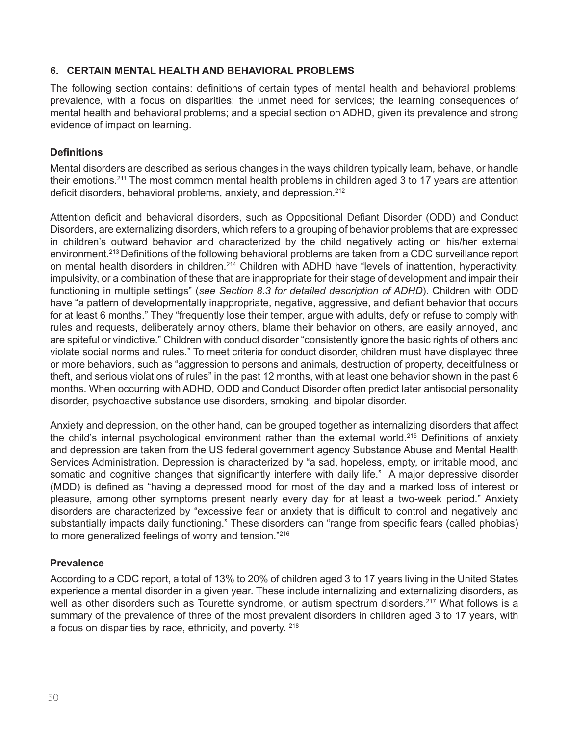## **6. CERTAIN MENTAL HEALTH AND BEHAVIORAL PROBLEMS**

The following section contains: definitions of certain types of mental health and behavioral problems; prevalence, with a focus on disparities; the unmet need for services; the learning consequences of mental health and behavioral problems; and a special section on ADHD, given its prevalence and strong evidence of impact on learning.

## **Definitions**

Mental disorders are described as serious changes in the ways children typically learn, behave, or handle their emotions.211 The most common mental health problems in children aged 3 to 17 years are attention deficit disorders, behavioral problems, anxiety, and depression.<sup>212</sup>

Attention deficit and behavioral disorders, such as Oppositional Defiant Disorder (ODD) and Conduct Disorders, are externalizing disorders, which refers to a grouping of behavior problems that are expressed in children's outward behavior and characterized by the child negatively acting on his/her external environment.213 Definitions of the following behavioral problems are taken from a CDC surveillance report on mental health disorders in children.214 Children with ADHD have "levels of inattention, hyperactivity, impulsivity, or a combination of these that are inappropriate for their stage of development and impair their functioning in multiple settings" (*see Section 8.3 for detailed description of ADHD*). Children with ODD have "a pattern of developmentally inappropriate, negative, aggressive, and defiant behavior that occurs for at least 6 months." They "frequently lose their temper, argue with adults, defy or refuse to comply with rules and requests, deliberately annoy others, blame their behavior on others, are easily annoyed, and are spiteful or vindictive." Children with conduct disorder "consistently ignore the basic rights of others and violate social norms and rules." To meet criteria for conduct disorder, children must have displayed three or more behaviors, such as "aggression to persons and animals, destruction of property, deceitfulness or theft, and serious violations of rules" in the past 12 months, with at least one behavior shown in the past 6 months. When occurring with ADHD, ODD and Conduct Disorder often predict later antisocial personality disorder, psychoactive substance use disorders, smoking, and bipolar disorder.

Anxiety and depression, on the other hand, can be grouped together as internalizing disorders that affect the child's internal psychological environment rather than the external world.215 Definitions of anxiety and depression are taken from the US federal government agency Substance Abuse and Mental Health Services Administration. Depression is characterized by "a sad, hopeless, empty, or irritable mood, and somatic and cognitive changes that significantly interfere with daily life." A major depressive disorder (MDD) is defined as "having a depressed mood for most of the day and a marked loss of interest or pleasure, among other symptoms present nearly every day for at least a two-week period." Anxiety disorders are characterized by "excessive fear or anxiety that is difficult to control and negatively and substantially impacts daily functioning." These disorders can "range from specific fears (called phobias) to more generalized feelings of worry and tension."216

## **Prevalence**

According to a CDC report, a total of 13% to 20% of children aged 3 to 17 years living in the United States experience a mental disorder in a given year. These include internalizing and externalizing disorders, as well as other disorders such as Tourette syndrome, or autism spectrum disorders.<sup>217</sup> What follows is a summary of the prevalence of three of the most prevalent disorders in children aged 3 to 17 years, with a focus on disparities by race, ethnicity, and poverty. 218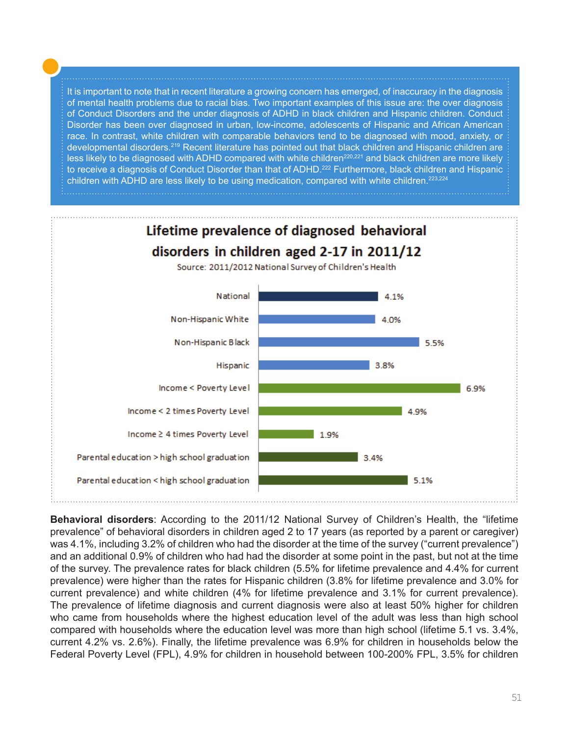It is important to note that in recent literature a growing concern has emerged, of inaccuracy in the diagnosis of mental health problems due to racial bias. Two important examples of this issue are: the over diagnosis of Conduct Disorders and the under diagnosis of ADHD in black children and Hispanic children. Conduct Disorder has been over diagnosed in urban, low-income, adolescents of Hispanic and African American race. In contrast, white children with comparable behaviors tend to be diagnosed with mood, anxiety, or developmental disorders.219 Recent literature has pointed out that black children and Hispanic children are less likely to be diagnosed with ADHD compared with white children<sup>220,221</sup> and black children are more likely to receive a diagnosis of Conduct Disorder than that of ADHD.<sup>222</sup> Furthermore, black children and Hispanic children with ADHD are less likely to be using medication, compared with white children.<sup>223,224</sup>



**Behavioral disorders**: According to the 2011/12 National Survey of Children's Health, the "lifetime prevalence" of behavioral disorders in children aged 2 to 17 years (as reported by a parent or caregiver) was 4.1%, including 3.2% of children who had the disorder at the time of the survey ("current prevalence") and an additional 0.9% of children who had had the disorder at some point in the past, but not at the time of the survey. The prevalence rates for black children (5.5% for lifetime prevalence and 4.4% for current prevalence) were higher than the rates for Hispanic children (3.8% for lifetime prevalence and 3.0% for current prevalence) and white children (4% for lifetime prevalence and 3.1% for current prevalence). The prevalence of lifetime diagnosis and current diagnosis were also at least 50% higher for children who came from households where the highest education level of the adult was less than high school compared with households where the education level was more than high school (lifetime 5.1 vs. 3.4%, current 4.2% vs. 2.6%). Finally, the lifetime prevalence was 6.9% for children in households below the Federal Poverty Level (FPL), 4.9% for children in household between 100-200% FPL, 3.5% for children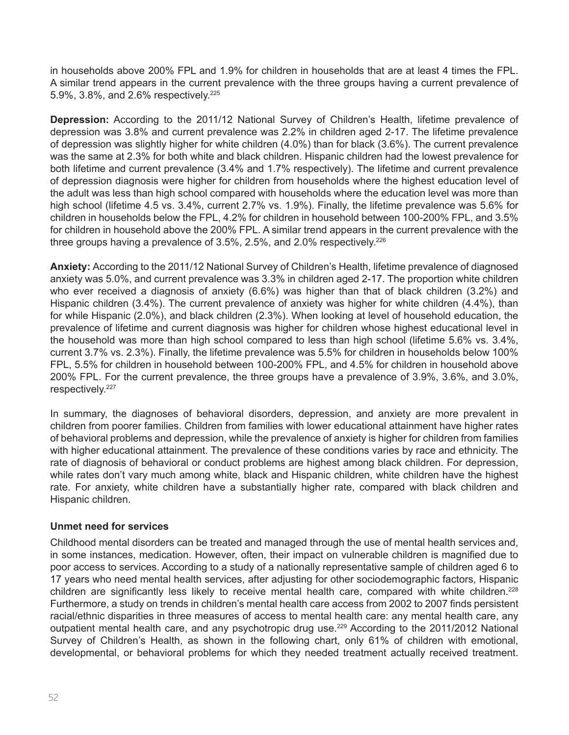in households above 200% FPL and 1.9% for children in households that are at least 4 times the FPL. A similar trend appears in the current prevalence with the three groups having a current prevalence of 5.9%, 3.8%, and 2.6% respectively.225

**Depression:** According to the 2011/12 National Survey of Children's Health, lifetime prevalence of depression was 3.8% and current prevalence was 2.2% in children aged 2-17. The lifetime prevalence of depression was slightly higher for white children (4.0%) than for black (3.6%). The current prevalence was the same at 2.3% for both white and black children. Hispanic children had the lowest prevalence for both lifetime and current prevalence (3.4% and 1.7% respectively). The lifetime and current prevalence of depression diagnosis were higher for children from households where the highest education level of the adult was less than high school compared with households where the education level was more than high school (lifetime 4.5 vs. 3.4%, current 2.7% vs. 1.9%). Finally, the lifetime prevalence was 5.6% for children in households below the FPL, 4.2% for children in household between 100-200% FPL, and 3.5% for children in household above the 200% FPL. A similar trend appears in the current prevalence with the three groups having a prevalence of 3.5%, 2.5%, and 2.0% respectively. $^{226}$ 

**Anxiety:** According to the 2011/12 National Survey of Children's Health, lifetime prevalence of diagnosed anxiety was 5.0%, and current prevalence was 3.3% in children aged 2-17. The proportion white children who ever received a diagnosis of anxiety (6.6%) was higher than that of black children (3.2%) and Hispanic children (3.4%). The current prevalence of anxiety was higher for white children (4.4%), than for while Hispanic (2.0%), and black children (2.3%). When looking at level of household education, the prevalence of lifetime and current diagnosis was higher for children whose highest educational level in the household was more than high school compared to less than high school (lifetime 5.6% vs. 3.4%, current 3.7% vs. 2.3%). Finally, the lifetime prevalence was 5.5% for children in households below 100% FPL, 5.5% for children in household between 100-200% FPL, and 4.5% for children in household above 200% FPL. For the current prevalence, the three groups have a prevalence of 3.9%, 3.6%, and 3.0%, respectively.<sup>227</sup>

In summary, the diagnoses of behavioral disorders, depression, and anxiety are more prevalent in children from poorer families. Children from families with lower educational attainment have higher rates of behavioral problems and depression, while the prevalence of anxiety is higher for children from families with higher educational attainment. The prevalence of these conditions varies by race and ethnicity. The rate of diagnosis of behavioral or conduct problems are highest among black children. For depression, while rates don't vary much among white, black and Hispanic children, white children have the highest rate. For anxiety, white children have a substantially higher rate, compared with black children and Hispanic children.

## **Unmet need for services**

Childhood mental disorders can be treated and managed through the use of mental health services and, in some instances, medication. However, often, their impact on vulnerable children is magnified due to poor access to services. According to a study of a nationally representative sample of children aged 6 to 17 years who need mental health services, after adjusting for other sociodemographic factors, Hispanic children are significantly less likely to receive mental health care, compared with white children.<sup>228</sup> Furthermore, a study on trends in children's mental health care access from 2002 to 2007 finds persistent racial/ethnic disparities in three measures of access to mental health care: any mental health care, any outpatient mental health care, and any psychotropic drug use.<sup>229</sup> According to the 2011/2012 National Survey of Children's Health, as shown in the following chart, only 61% of children with emotional, developmental, or behavioral problems for which they needed treatment actually received treatment.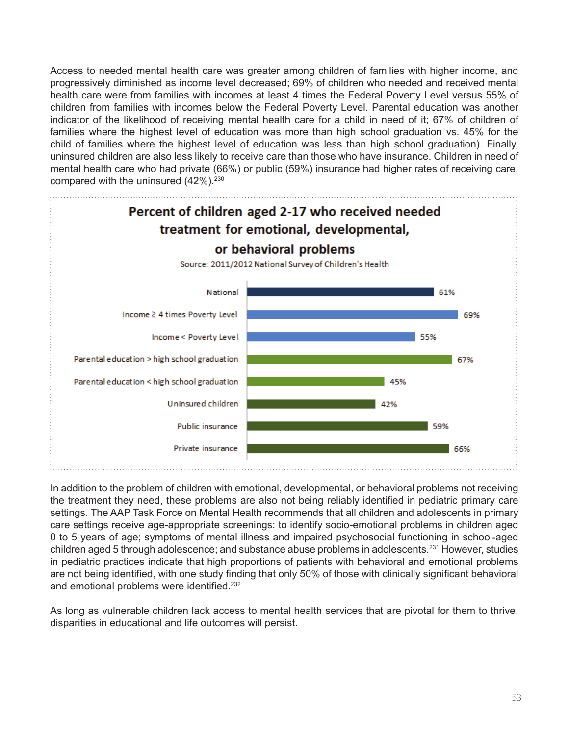Access to needed mental health care was greater among children of families with higher income, and progressively diminished as income level decreased; 69% of children who needed and received mental health care were from families with incomes at least 4 times the Federal Poverty Level versus 55% of children from families with incomes below the Federal Poverty Level. Parental education was another indicator of the likelihood of receiving mental health care for a child in need of it; 67% of children of families where the highest level of education was more than high school graduation vs. 45% for the child of families where the highest level of education was less than high school graduation). Finally, uninsured children are also less likely to receive care than those who have insurance. Children in need of mental health care who had private (66%) or public (59%) insurance had higher rates of receiving care, compared with the uninsured  $(42\%)$ .<sup>230</sup>



In addition to the problem of children with emotional, developmental, or behavioral problems not receiving the treatment they need, these problems are also not being reliably identified in pediatric primary care settings. The AAP Task Force on Mental Health recommends that all children and adolescents in primary care settings receive age-appropriate screenings: to identify socio-emotional problems in children aged 0 to 5 years of age; symptoms of mental illness and impaired psychosocial functioning in school-aged children aged 5 through adolescence; and substance abuse problems in adolescents.<sup>231</sup> However, studies in pediatric practices indicate that high proportions of patients with behavioral and emotional problems are not being identified, with one study finding that only 50% of those with clinically significant behavioral and emotional problems were identified.<sup>232</sup>

As long as vulnerable children lack access to mental health services that are pivotal for them to thrive, disparities in educational and life outcomes will persist.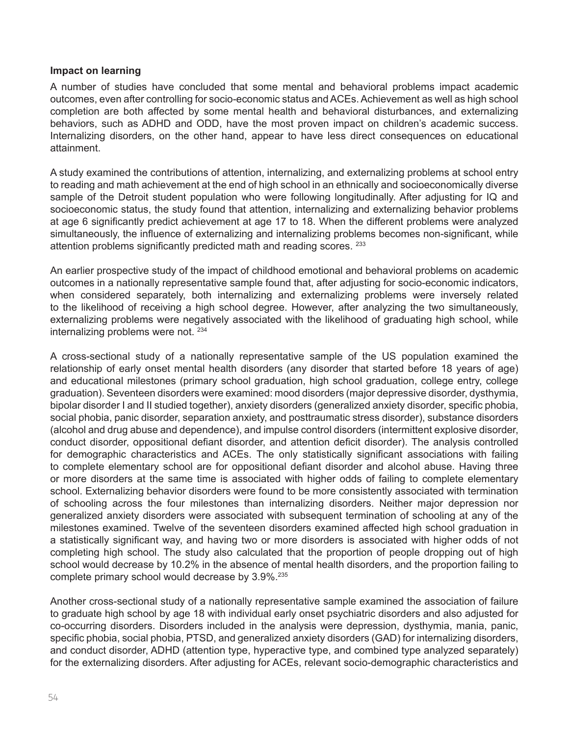#### **Impact on learning**

A number of studies have concluded that some mental and behavioral problems impact academic outcomes, even after controlling for socio-economic status and ACEs. Achievement as well as high school completion are both affected by some mental health and behavioral disturbances, and externalizing behaviors, such as ADHD and ODD, have the most proven impact on children's academic success. Internalizing disorders, on the other hand, appear to have less direct consequences on educational attainment.

A study examined the contributions of attention, internalizing, and externalizing problems at school entry to reading and math achievement at the end of high school in an ethnically and socioeconomically diverse sample of the Detroit student population who were following longitudinally. After adjusting for IQ and socioeconomic status, the study found that attention, internalizing and externalizing behavior problems at age 6 significantly predict achievement at age 17 to 18. When the different problems were analyzed simultaneously, the influence of externalizing and internalizing problems becomes non-significant, while attention problems significantly predicted math and reading scores. 233

An earlier prospective study of the impact of childhood emotional and behavioral problems on academic outcomes in a nationally representative sample found that, after adjusting for socio-economic indicators, when considered separately, both internalizing and externalizing problems were inversely related to the likelihood of receiving a high school degree. However, after analyzing the two simultaneously, externalizing problems were negatively associated with the likelihood of graduating high school, while internalizing problems were not. <sup>234</sup>

A cross-sectional study of a nationally representative sample of the US population examined the relationship of early onset mental health disorders (any disorder that started before 18 years of age) and educational milestones (primary school graduation, high school graduation, college entry, college graduation). Seventeen disorders were examined: mood disorders (major depressive disorder, dysthymia, bipolar disorder I and II studied together), anxiety disorders (generalized anxiety disorder, specific phobia, social phobia, panic disorder, separation anxiety, and posttraumatic stress disorder), substance disorders (alcohol and drug abuse and dependence), and impulse control disorders (intermittent explosive disorder, conduct disorder, oppositional defiant disorder, and attention deficit disorder). The analysis controlled for demographic characteristics and ACEs. The only statistically significant associations with failing to complete elementary school are for oppositional defiant disorder and alcohol abuse. Having three or more disorders at the same time is associated with higher odds of failing to complete elementary school. Externalizing behavior disorders were found to be more consistently associated with termination of schooling across the four milestones than internalizing disorders. Neither major depression nor generalized anxiety disorders were associated with subsequent termination of schooling at any of the milestones examined. Twelve of the seventeen disorders examined affected high school graduation in a statistically significant way, and having two or more disorders is associated with higher odds of not completing high school. The study also calculated that the proportion of people dropping out of high school would decrease by 10.2% in the absence of mental health disorders, and the proportion failing to complete primary school would decrease by 3.9%.<sup>235</sup>

Another cross-sectional study of a nationally representative sample examined the association of failure to graduate high school by age 18 with individual early onset psychiatric disorders and also adjusted for co-occurring disorders. Disorders included in the analysis were depression, dysthymia, mania, panic, specific phobia, social phobia, PTSD, and generalized anxiety disorders (GAD) for internalizing disorders, and conduct disorder, ADHD (attention type, hyperactive type, and combined type analyzed separately) for the externalizing disorders. After adjusting for ACEs, relevant socio-demographic characteristics and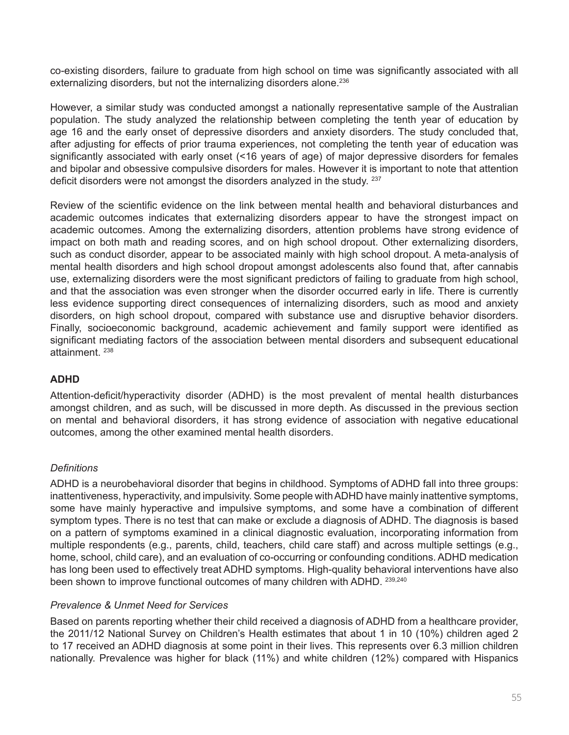co-existing disorders, failure to graduate from high school on time was significantly associated with all externalizing disorders, but not the internalizing disorders alone.<sup>236</sup>

However, a similar study was conducted amongst a nationally representative sample of the Australian population. The study analyzed the relationship between completing the tenth year of education by age 16 and the early onset of depressive disorders and anxiety disorders. The study concluded that, after adjusting for effects of prior trauma experiences, not completing the tenth year of education was significantly associated with early onset (<16 years of age) of major depressive disorders for females and bipolar and obsessive compulsive disorders for males. However it is important to note that attention deficit disorders were not amongst the disorders analyzed in the study. 237

Review of the scientific evidence on the link between mental health and behavioral disturbances and academic outcomes indicates that externalizing disorders appear to have the strongest impact on academic outcomes. Among the externalizing disorders, attention problems have strong evidence of impact on both math and reading scores, and on high school dropout. Other externalizing disorders, such as conduct disorder, appear to be associated mainly with high school dropout. A meta-analysis of mental health disorders and high school dropout amongst adolescents also found that, after cannabis use, externalizing disorders were the most significant predictors of failing to graduate from high school, and that the association was even stronger when the disorder occurred early in life. There is currently less evidence supporting direct consequences of internalizing disorders, such as mood and anxiety disorders, on high school dropout, compared with substance use and disruptive behavior disorders. Finally, socioeconomic background, academic achievement and family support were identified as significant mediating factors of the association between mental disorders and subsequent educational attainment. <sup>238</sup>

# **ADHD**

Attention-deficit/hyperactivity disorder (ADHD) is the most prevalent of mental health disturbances amongst children, and as such, will be discussed in more depth. As discussed in the previous section on mental and behavioral disorders, it has strong evidence of association with negative educational outcomes, among the other examined mental health disorders.

## *Definitions*

ADHD is a neurobehavioral disorder that begins in childhood. Symptoms of ADHD fall into three groups: inattentiveness, hyperactivity, and impulsivity. Some people with ADHD have mainly inattentive symptoms, some have mainly hyperactive and impulsive symptoms, and some have a combination of different symptom types. There is no test that can make or exclude a diagnosis of ADHD. The diagnosis is based on a pattern of symptoms examined in a clinical diagnostic evaluation, incorporating information from multiple respondents (e.g., parents, child, teachers, child care staff) and across multiple settings (e.g., home, school, child care), and an evaluation of co-occurring or confounding conditions. ADHD medication has long been used to effectively treat ADHD symptoms. High-quality behavioral interventions have also been shown to improve functional outcomes of many children with ADHD. 239,240

## *Prevalence & Unmet Need for Services*

Based on parents reporting whether their child received a diagnosis of ADHD from a healthcare provider, the 2011/12 National Survey on Children's Health estimates that about 1 in 10 (10%) children aged 2 to 17 received an ADHD diagnosis at some point in their lives. This represents over 6.3 million children nationally. Prevalence was higher for black (11%) and white children (12%) compared with Hispanics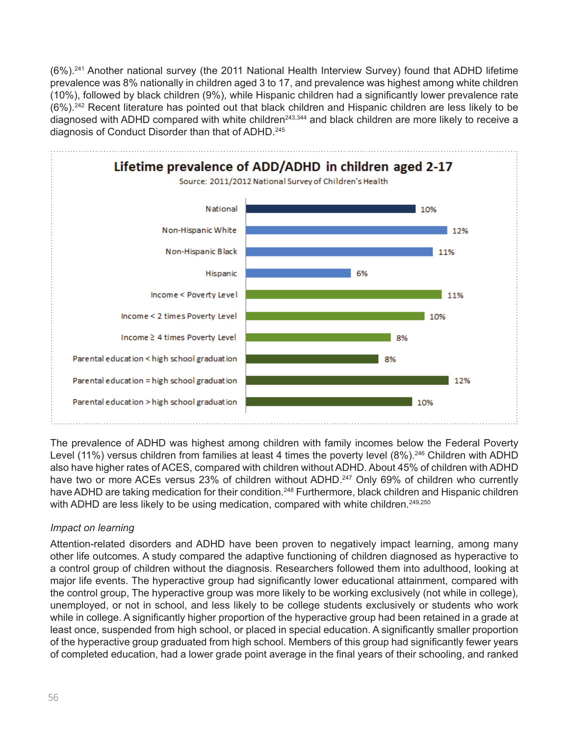(6%).241 Another national survey (the 2011 National Health Interview Survey) found that ADHD lifetime prevalence was 8% nationally in children aged 3 to 17, and prevalence was highest among white children (10%), followed by black children (9%), while Hispanic children had a significantly lower prevalence rate (6%).242 Recent literature has pointed out that black children and Hispanic children are less likely to be diagnosed with ADHD compared with white children<sup>243,344</sup> and black children are more likely to receive a diagnosis of Conduct Disorder than that of ADHD.<sup>245</sup>



The prevalence of ADHD was highest among children with family incomes below the Federal Poverty Level (11%) versus children from families at least 4 times the poverty level (8%).<sup>246</sup> Children with ADHD also have higher rates of ACES, compared with children without ADHD. About 45% of children with ADHD have two or more ACEs versus 23% of children without ADHD.<sup>247</sup> Only 69% of children who currently have ADHD are taking medication for their condition.<sup>248</sup> Furthermore, black children and Hispanic children with ADHD are less likely to be using medication, compared with white children.<sup>249,250</sup>

# *Impact on learning*

Attention-related disorders and ADHD have been proven to negatively impact learning, among many other life outcomes. A study compared the adaptive functioning of children diagnosed as hyperactive to a control group of children without the diagnosis. Researchers followed them into adulthood, looking at major life events. The hyperactive group had significantly lower educational attainment, compared with the control group, The hyperactive group was more likely to be working exclusively (not while in college), unemployed, or not in school, and less likely to be college students exclusively or students who work while in college. A significantly higher proportion of the hyperactive group had been retained in a grade at least once, suspended from high school, or placed in special education. A significantly smaller proportion of the hyperactive group graduated from high school. Members of this group had significantly fewer years of completed education, had a lower grade point average in the final years of their schooling, and ranked